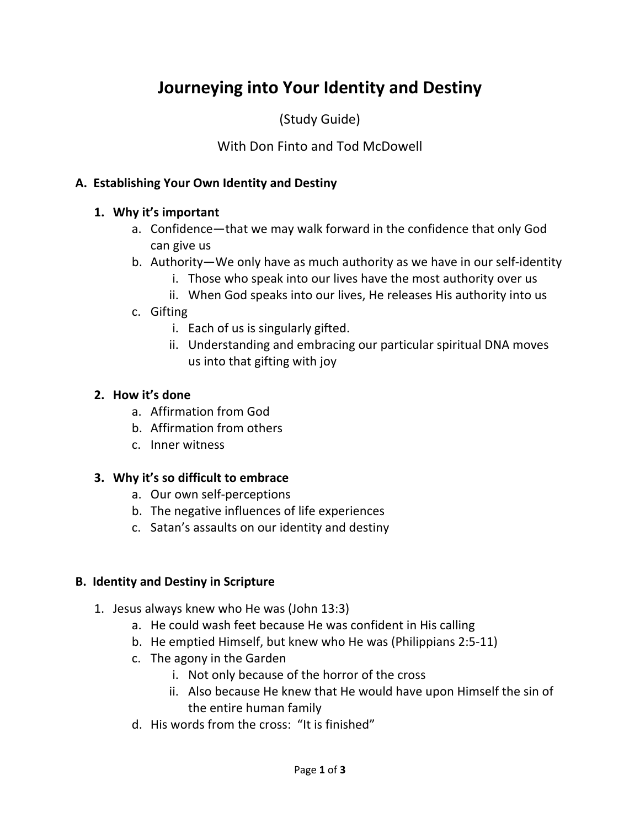# **Journeying into Your Identity and Destiny**

(Study Guide)

With Don Finto and Tod McDowell

### **A. Establishing Your Own Identity and Destiny**

#### **1. Why it's important**

- a. Confidence—that we may walk forward in the confidence that only God can give us
- b. Authority—We only have as much authority as we have in our self-identity
	- i. Those who speak into our lives have the most authority over us
	- ii. When God speaks into our lives, He releases His authority into us

#### c. Gifting

- i. Each of us is singularly gifted.
- ii. Understanding and embracing our particular spiritual DNA moves us into that gifting with joy

#### **2. How it's done**

- a. Affirmation from God
- b. Affirmation from others
- c. Inner witness

#### **3. Why it's so difficult to embrace**

- a. Our own self-perceptions
- b. The negative influences of life experiences
- c. Satan's assaults on our identity and destiny

#### **B. Identity and Destiny in Scripture**

- 1. Jesus always knew who He was (John 13:3)
	- a. He could wash feet because He was confident in His calling
	- b. He emptied Himself, but knew who He was (Philippians 2:5-11)
	- c. The agony in the Garden
		- i. Not only because of the horror of the cross
		- ii. Also because He knew that He would have upon Himself the sin of the entire human family
	- d. His words from the cross: "It is finished"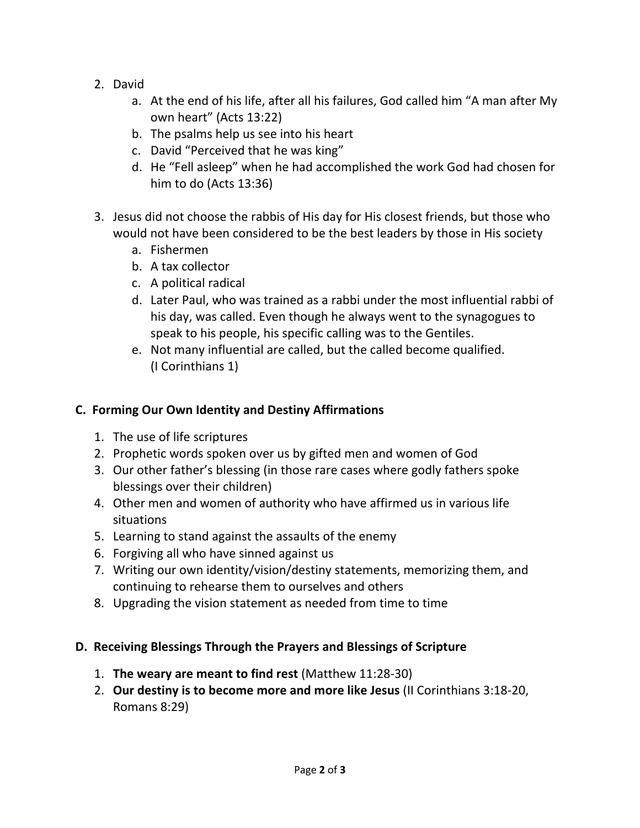- 2. David
	- a. At the end of his life, after all his failures, God called him "A man after My own heart" (Acts 13:22)
	- b. The psalms help us see into his heart
	- c. David "Perceived that he was king"
	- d. He "Fell asleep" when he had accomplished the work God had chosen for him to do (Acts 13:36)
- 3. Jesus did not choose the rabbis of His day for His closest friends, but those who would not have been considered to be the best leaders by those in His society
	- a. Fishermen
	- b. A tax collector
	- c. A political radical
	- d. Later Paul, who was trained as a rabbi under the most influential rabbi of his day, was called. Even though he always went to the synagogues to speak to his people, his specific calling was to the Gentiles.
	- e. Not many influential are called, but the called become qualified. (I Corinthians 1)

# **C. Forming Our Own Identity and Destiny Affirmations**

- 1. The use of life scriptures
- 2. Prophetic words spoken over us by gifted men and women of God
- 3. Our other father's blessing (in those rare cases where godly fathers spoke blessings over their children)
- 4. Other men and women of authority who have affirmed us in various life situations
- 5. Learning to stand against the assaults of the enemy
- 6. Forgiving all who have sinned against us
- 7. Writing our own identity/vision/destiny statements, memorizing them, and continuing to rehearse them to ourselves and others
- 8. Upgrading the vision statement as needed from time to time

## **D. Receiving Blessings Through the Prayers and Blessings of Scripture**

- 1. **The weary are meant to find rest** (Matthew 11:28-30)
- 2. **Our destiny is to become more and more like Jesus** (II Corinthians 3:18-20, Romans 8:29)